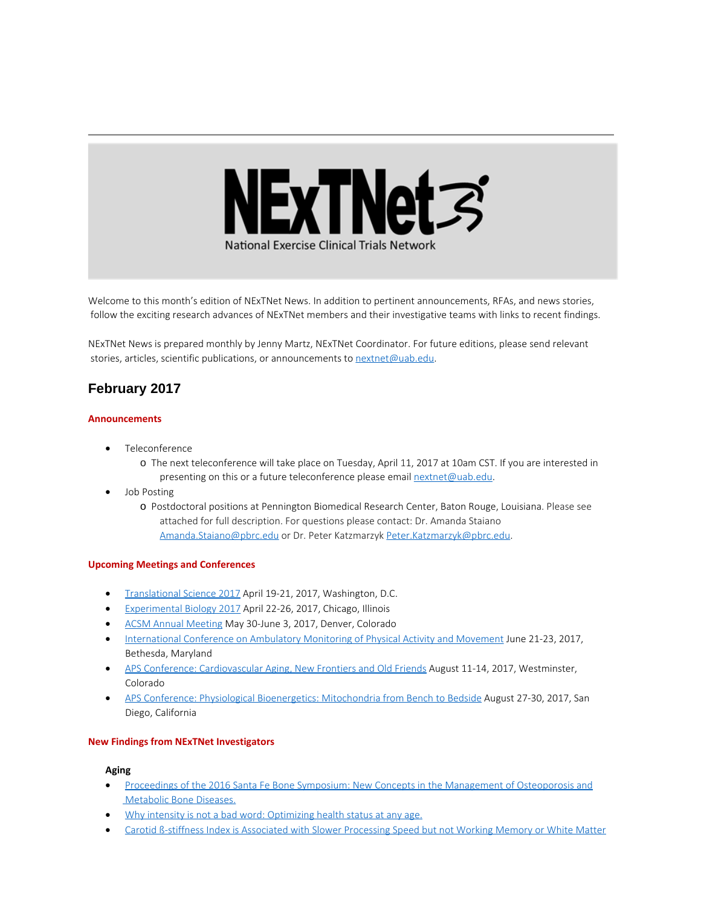

Welcome to this month's edition of NExTNet News. In addition to pertinent announcements, RFAs, and news stories, follow the exciting research advances of NExTNet members and their investigative teams with links to recent findings.

NExTNet News is prepared monthly by Jenny Martz, NExTNet Coordinator. For future editions, please send relevant stories, articles, scientific publications, or announcements to [nextnet@uab.edu](mailto:nextnet@uab.edu).

# **February 2017**

## **Announcements**

- · Teleconference
	- o The next teleconference will take place on Tuesday, April 11, 2017 at 10am CST. If you are interested in presenting on this or a future teleconference please email [nextnet@uab.edu](mailto:nextnet@uab.edu).
- · Job Posting
	- o Postdoctoral positions at Pennington Biomedical Research Center, Baton Rouge, Louisiana. Please see attached for full description. For questions please contact: Dr. Amanda Staiano [Amanda.Staiano@pbrc.edu](mailto:Amanda.Staiano@pbrc.edu) or Dr. Peter Katzmarzyk [Peter.Katzmarzyk@pbrc.edu](mailto:Peter.Katzmarzyk@pbrc.edu).

## **Upcoming Meetings and Conferences**

- · [Translational Science 2017](http://www.actscience.org/ts2017?utm_source=CCTS+Digest+December+16%2C+2016&utm_campaign=Dec.+16%2C+2016+Digest&utm_medium=emailhttp://www.actscience.org/ts2017?utm_source=CCTS+Digest+December+16%2C+2016&utm_campaign=Dec.+16%2C+2016+Digest&utm_medium=email) April 19-21, 2017, Washington, D.C.
- · [Experimental Biology 2017](http://experimentalbiology.org/2017/Home.aspx) April 22-26, 2017, Chicago, Illinois
- · [ACSM Annual Meeting](http://www.acsm.org/attend-a-meeting/annual-meeting) May 30-June 3, 2017, Denver, Colorado
- · [International Conference on Ambulatory Monitoring of Physical Activity and Movement](http://www.ismpb.org/2017-bethesda/) June 21-23, 2017, Bethesda, Maryland
- · [APS Conference: Cardiovascular Aging, New Frontiers and Old Friends](http://www.the-aps.org/mm/Conferences/APS-Conferences/2017-Conferences/CV-Aging) August 11-14, 2017, Westminster, Colorado
- · [APS Conference: Physiological Bioenergetics: Mitochondria from Bench to Bedside](http://www.the-aps.org/mm/Conferences/APS-Conferences/2017-Conferences/Bioenergetics) August 27-30, 2017, San Diego, California

## **New Findings from NExTNet Investigators**

## **Aging**

- · [Proceedings of the 2016 Santa Fe Bone Symposium: New Concepts in the Management of Osteoporosis and](https://www.ncbi.nlm.nih.gov/pubmed/28185765) [Metabolic Bone Diseases.](https://www.ncbi.nlm.nih.gov/pubmed/28185765)
- [Why intensity is not a bad word: Optimizing health status at any age.](http://www.ncbi.nlm.nih.gov/pubmed/28214041)
- · [Carotid β-stiffness Index is Associated with Slower Processing Speed but not Working Memory or White Matter](https://www.ncbi.nlm.nih.gov/pubmed/28126907)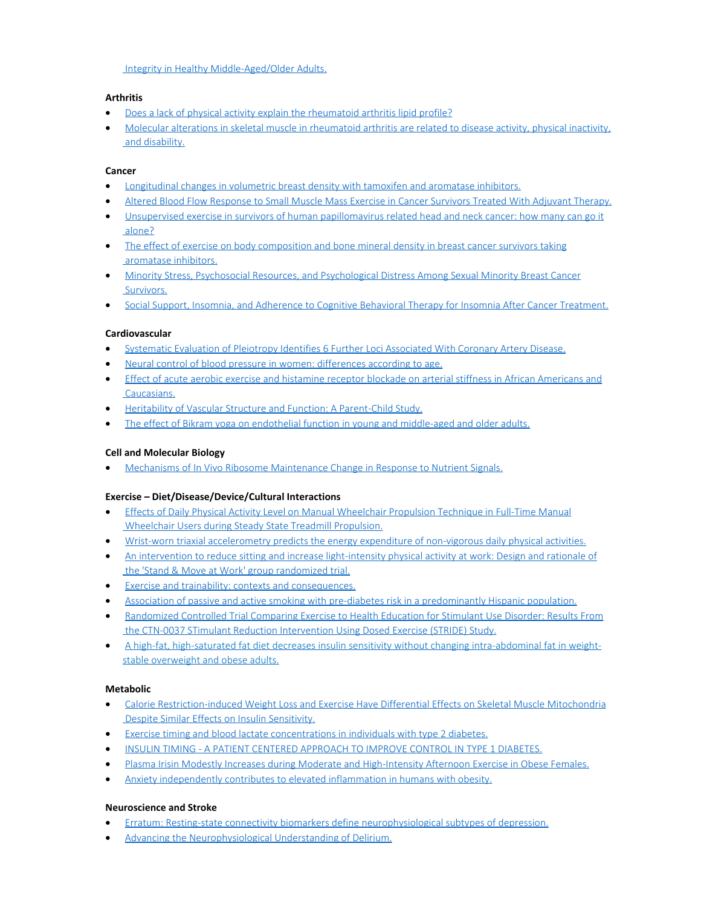[Integrity in Healthy Middle-Aged/Older Adults.](https://www.ncbi.nlm.nih.gov/pubmed/28126907)

# **Arthritis**

- · [Does a lack of physical activity explain the rheumatoid arthritis lipid profile?](http://www.ncbi.nlm.nih.gov/pubmed/28187765)
- · [Molecular alterations in skeletal muscle in rheumatoid arthritis are related to disease activity, physical inactivity,](https://www.ncbi.nlm.nih.gov/pubmed/28114971)  [and disability.](https://www.ncbi.nlm.nih.gov/pubmed/28114971)

## **Cancer**

- · [Longitudinal changes in volumetric breast density with tamoxifen and aromatase inhibitors.](https://www.ncbi.nlm.nih.gov/pubmed/28148596)
- · [Altered Blood Flow Response to Small Muscle Mass Exercise in Cancer Survivors Treated With Adjuvant Therapy.](https://www.ncbi.nlm.nih.gov/pubmed/28174169)
- · [Unsupervised exercise in survivors of human papillomavirus related head and neck cancer: how many can go it](https://www.ncbi.nlm.nih.gov/pubmed/28194641)  [alone?](https://www.ncbi.nlm.nih.gov/pubmed/28194641)
- [The effect of exercise on body composition and bone mineral density in breast cancer survivors taking](https://www.ncbi.nlm.nih.gov/pubmed/28026901)  [aromatase inhibitors.](https://www.ncbi.nlm.nih.gov/pubmed/28026901)
- · [Minority Stress, Psychosocial Resources, and Psychological Distress Among Sexual Minority Breast Cancer](https://www.ncbi.nlm.nih.gov/pubmed/28165265)  [Survivors.](https://www.ncbi.nlm.nih.gov/pubmed/28165265)
- · [Social Support, Insomnia, and Adherence to Cognitive Behavioral Therapy for Insomnia After Cancer Treatment.](https://www.ncbi.nlm.nih.gov/pubmed/28128982)

## **Cardiovascular**

- · [Systematic Evaluation of Pleiotropy Identifies 6 Further Loci Associated With](https://www.ncbi.nlm.nih.gov/pubmed/28209224) Coronary Artery Disease.
- · [Neural control of blood pressure in women: differences according to age.](https://www.ncbi.nlm.nih.gov/pubmed/28205011)
- · [Effect of acute aerobic exercise and histamine receptor blockade on arterial stiffness in African Americans and](https://www.ncbi.nlm.nih.gov/pubmed/27979988)  [Caucasians.](https://www.ncbi.nlm.nih.gov/pubmed/27979988)
- · [Heritability of Vascular Structure and Function: A Parent-Child Study.](https://www.ncbi.nlm.nih.gov/pubmed/28154165)
- · [The effect of Bikram yoga on endothelial function in young and middle-aged and older adults.](https://www.ncbi.nlm.nih.gov/pubmed/28167186)

## **Cell and Molecular Biology**

· [Mechanisms of In Vivo Ribosome Maintenance Change in Response to Nutrient Signals.](https://www.ncbi.nlm.nih.gov/pubmed/27932527)

## **Exercise – Diet/Disease/Device/Cultural Interactions**

- · [Effects of Daily Physical Activity Level on Manual Wheelchair Propulsion Technique in Full-Time Manual](http://www.ncbi.nlm.nih.gov/pubmed/28161318)  [Wheelchair Users during Steady State Treadmill Propulsion.](http://www.ncbi.nlm.nih.gov/pubmed/28161318)
- · [Wrist-worn triaxial accelerometry predicts the energy expenditure of non-vigorous daily physical activities.](http://www.ncbi.nlm.nih.gov/pubmed/28159535)
- · [An intervention to reduce sitting and increase light-intensity physical activity at work: Design and rationale of](https://www.ncbi.nlm.nih.gov/pubmed/27940181)  [the 'Stand & Move at Work' group randomized trial.](https://www.ncbi.nlm.nih.gov/pubmed/27940181)
- · [Exercise and trainability: contexts and consequences.](https://www.ncbi.nlm.nih.gov/pubmed/28185284)
- · [Association of passive and active smoking with pre-diabetes risk in a predominantly Hispanic population.](https://www.ncbi.nlm.nih.gov/pubmed/27756803)
- · [Randomized Controlled Trial Comparing Exercise to Health Education for Stimulant Use Disorder: Results From](https://www.ncbi.nlm.nih.gov/pubmed/28199070)  [the CTN-0037 STimulant Reduction Intervention Using Dosed Exercise \(STRIDE\) Study.](https://www.ncbi.nlm.nih.gov/pubmed/28199070)
- · [A high-fat, high-saturated fat diet decreases insulin sensitivity without changing intra-abdominal fat in weight](https://www.ncbi.nlm.nih.gov/pubmed/26615402)[stable overweight and obese adults.](https://www.ncbi.nlm.nih.gov/pubmed/26615402)

# **Metabolic**

- · [Calorie Restriction-induced Weight Loss and Exercise Have Differential Effects on Skeletal Muscle Mitochondria](https://www.ncbi.nlm.nih.gov/pubmed/28158621)  [Despite Similar Effects on Insulin Sensitivity.](https://www.ncbi.nlm.nih.gov/pubmed/28158621)
- · [Exercise timing and blood lactate concentrations in individuals with type 2 diabetes.](https://www.ncbi.nlm.nih.gov/pubmed/28208021)
- · [INSULIN TIMING A PATIENT CENTERED APPROACH TO IMPROVE CONTROL IN TYPE 1 DIABETES.](https://www.ncbi.nlm.nih.gov/pubmed/28156154)
- [Plasma Irisin Modestly Increases during Moderate and High-Intensity Afternoon Exercise in Obese Females.](https://www.ncbi.nlm.nih.gov/pubmed/28125733)
- · [Anxiety independently contributes to elevated inflammation in humans with obesity.](https://www.ncbi.nlm.nih.gov/pubmed/28000423)

## **Neuroscience and Stroke**

- · [Erratum: Resting-state connectivity biomarkers define neurophysiological subtypes of depression.](https://www.ncbi.nlm.nih.gov/pubmed/28170383)
- · [Advancing the Neurophysiological Understanding of Delirium.](https://www.ncbi.nlm.nih.gov/pubmed/28165616)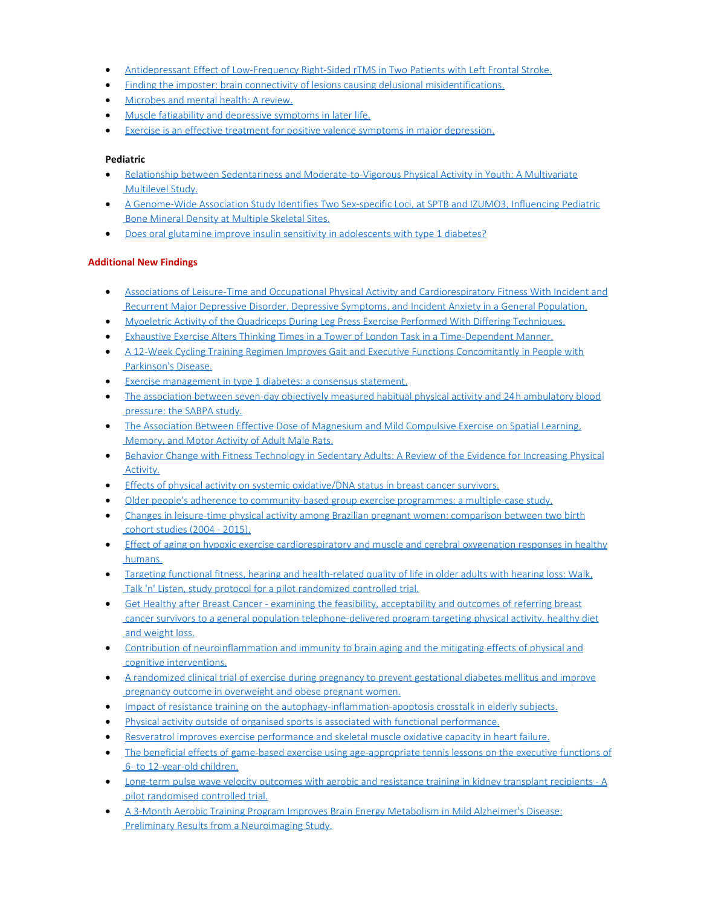- · [Antidepressant Effect of Low-Frequency Right-Sided rTMS in Two Patients with Left Frontal Stroke.](https://www.ncbi.nlm.nih.gov/pubmed/28104083)
- · [Finding the imposter: brain connectivity of lesions causing delusional misidentifications.](https://www.ncbi.nlm.nih.gov/pubmed/28082298)
- · [Microbes and mental health: A review.](https://www.ncbi.nlm.nih.gov/pubmed/28131791)
- [Muscle fatigability and depressive symptoms in later life.](https://www.ncbi.nlm.nih.gov/pubmed/28198046)
- [Exercise is an effective treatment for positive valence symptoms in major depression.](https://www.ncbi.nlm.nih.gov/pubmed/27936452)

## **Pediatric**

- · [Relationship between Sedentariness and Moderate-to-Vigorous Physical Activity in Youth: A Multivariate](https://www.ncbi.nlm.nih.gov/pubmed/28165401) [Multilevel Study.](https://www.ncbi.nlm.nih.gov/pubmed/28165401)
- · [A Genome-Wide Association Study Identifies Two Sex-specific Loci, at SPTB and IZUMO3, Influencing Pediatric](https://www.ncbi.nlm.nih.gov/pubmed/28181694) [Bone Mineral Density at Multiple Skeletal Sites.](https://www.ncbi.nlm.nih.gov/pubmed/28181694)
- · [Does oral glutamine improve insulin sensitivity in adolescents with type 1 diabetes?](https://www.ncbi.nlm.nih.gov/pubmed/28063503)

# **Additional New Findings**

- · [Associations of Leisure-Time and Occupational Physical Activity and Cardiorespiratory Fitness With Incident and](http://www.ncbi.nlm.nih.gov/pubmed/28129498) [Recurrent Major Depressive Disorder, Depressive Symptoms, and Incident Anxiety in a General Population.](http://www.ncbi.nlm.nih.gov/pubmed/28129498)
- · [Myoeletric Activity of the Quadriceps During Leg Press Exercise Performed With Differing Techniques.](http://www.ncbi.nlm.nih.gov/pubmed/28129279)
- · [Exhaustive Exercise Alters Thinking Times in a Tower of London Task in a Time-Dependent Manner.](http://www.ncbi.nlm.nih.gov/pubmed/28127289)
- · [A 12-Week Cycling Training Regimen Improves Gait and Executive Functions Concomitantly in People with](http://www.ncbi.nlm.nih.gov/pubmed/28127282) [Parkinson's Disease.](http://www.ncbi.nlm.nih.gov/pubmed/28127282)
- · [Exercise management in type 1 diabetes: a consensus statement.](http://www.ncbi.nlm.nih.gov/pubmed/28126459)
- · [The association between seven-day objectively measured habitual physical activity and 24h ambulatory blood](http://www.ncbi.nlm.nih.gov/pubmed/28124683) [pressure: the SABPA study.](http://www.ncbi.nlm.nih.gov/pubmed/28124683)
- [The Association Between Effective Dose of Magnesium and Mild Compulsive Exercise on Spatial Learning,](http://www.ncbi.nlm.nih.gov/pubmed/28124215) [Memory, and Motor Activity of Adult Male Rats.](http://www.ncbi.nlm.nih.gov/pubmed/28124215)
- · [Behavior Change with Fitness Technology in Sedentary Adults: A Review of the Evidence for Increasing Physical](http://www.ncbi.nlm.nih.gov/pubmed/28123997) [Activity.](http://www.ncbi.nlm.nih.gov/pubmed/28123997)
- · [Effects of physical activity on systemic oxidative/DNA status in breast cancer survivors.](http://www.ncbi.nlm.nih.gov/pubmed/28123580)
- · [Older people's adherence to community-based group exercise programmes: a multiple-case study.](http://www.ncbi.nlm.nih.gov/pubmed/28122532)
- · [Changes in leisure-time physical activity among Brazilian pregnant women: comparison between two birth](http://www.ncbi.nlm.nih.gov/pubmed/28122524) [cohort studies \(2004 - 2015\).](http://www.ncbi.nlm.nih.gov/pubmed/28122524)
- [Effect of aging on hypoxic exercise cardiorespiratory and muscle and cerebral oxygenation responses in healthy](http://www.ncbi.nlm.nih.gov/pubmed/28130844) [humans.](http://www.ncbi.nlm.nih.gov/pubmed/28130844)
- · [Targeting functional fitness, hearing and health-related quality of life in older adults with hearing loss: Walk,](http://www.ncbi.nlm.nih.gov/pubmed/28129779) [Talk 'n' Listen, study protocol for a pilot randomized controlled trial.](http://www.ncbi.nlm.nih.gov/pubmed/28129779)
- · [Get Healthy after Breast Cancer examining the feasibility, acceptability and outcomes of referring breast](http://www.ncbi.nlm.nih.gov/pubmed/28161788) [cancer survivors to a general population telephone-delivered program targeting physical activity, healthy diet](http://www.ncbi.nlm.nih.gov/pubmed/28161788) [and weight loss.](http://www.ncbi.nlm.nih.gov/pubmed/28161788)
- · [Contribution of neuroinflammation and immunity to brain aging and the mitigating effects of physical and](http://www.ncbi.nlm.nih.gov/pubmed/28161508) [cognitive interventions.](http://www.ncbi.nlm.nih.gov/pubmed/28161508)
- · [A randomized clinical trial of exercise during pregnancy to prevent gestational diabetes mellitus and improve](http://www.ncbi.nlm.nih.gov/pubmed/28161306) [pregnancy outcome in overweight and obese pregnant women.](http://www.ncbi.nlm.nih.gov/pubmed/28161306)
- · [Impact of resistance training on the autophagy-inflammation-apoptosis crosstalk in elderly subjects.](http://www.ncbi.nlm.nih.gov/pubmed/28160545)
- · [Physical activity outside of organised sports is associated with functional performance.](http://www.ncbi.nlm.nih.gov/pubmed/28160518)
- · [Resveratrol improves exercise performance and skeletal muscle oxidative capacity in heart failure.](http://www.ncbi.nlm.nih.gov/pubmed/28159807)
- [The beneficial effects of game-based exercise using age-appropriate tennis lessons on the executive functions of](http://www.ncbi.nlm.nih.gov/pubmed/28159634) [6- to 12-year-old children.](http://www.ncbi.nlm.nih.gov/pubmed/28159634)
- · [Long-term pulse wave velocity outcomes with aerobic and resistance training in kidney transplant recipients A](http://www.ncbi.nlm.nih.gov/pubmed/28158243) [pilot randomised controlled trial.](http://www.ncbi.nlm.nih.gov/pubmed/28158243)
- · [A 3-Month Aerobic Training Program Improves Brain Energy Metabolism in](http://www.ncbi.nlm.nih.gov/pubmed/28157102) Mild Alzheimer's Disease: [Preliminary Results from a Neuroimaging Study.](http://www.ncbi.nlm.nih.gov/pubmed/28157102)